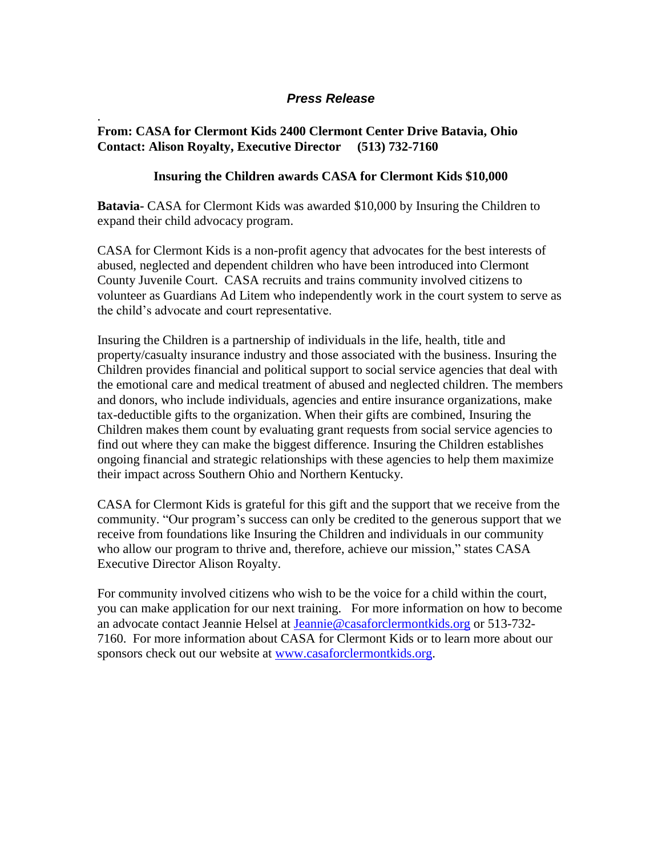## *Press Release*

## **From: CASA for Clermont Kids 2400 Clermont Center Drive Batavia, Ohio Contact: Alison Royalty, Executive Director (513) 732-7160**

.

## **Insuring the Children awards CASA for Clermont Kids \$10,000**

**Batavia-** CASA for Clermont Kids was awarded \$10,000 by Insuring the Children to expand their child advocacy program.

CASA for Clermont Kids is a non-profit agency that advocates for the best interests of abused, neglected and dependent children who have been introduced into Clermont County Juvenile Court. CASA recruits and trains community involved citizens to volunteer as Guardians Ad Litem who independently work in the court system to serve as the child's advocate and court representative.

Insuring the Children is a partnership of individuals in the life, health, title and property/casualty insurance industry and those associated with the business. Insuring the Children provides financial and political support to social service agencies that deal with the emotional care and medical treatment of abused and neglected children. The members and donors, who include individuals, agencies and entire insurance organizations, make tax-deductible gifts to the organization. When their gifts are combined, Insuring the Children makes them count by evaluating grant requests from social service agencies to find out where they can make the biggest difference. Insuring the Children establishes ongoing financial and strategic relationships with these agencies to help them maximize their impact across Southern Ohio and Northern Kentucky.

CASA for Clermont Kids is grateful for this gift and the support that we receive from the community. "Our program's success can only be credited to the generous support that we receive from foundations like Insuring the Children and individuals in our community who allow our program to thrive and, therefore, achieve our mission," states CASA Executive Director Alison Royalty.

For community involved citizens who wish to be the voice for a child within the court, you can make application for our next training. For more information on how to become an advocate contact Jeannie Helsel at [Jeannie@casaforclermontkids.org](mailto:Jeannie@casaforclermontkids.org) or 513-732- 7160. For more information about CASA for Clermont Kids or to learn more about our sponsors check out our website at [www.casaforclermontkids.org.](http://www.casaforclermontkids.org/)